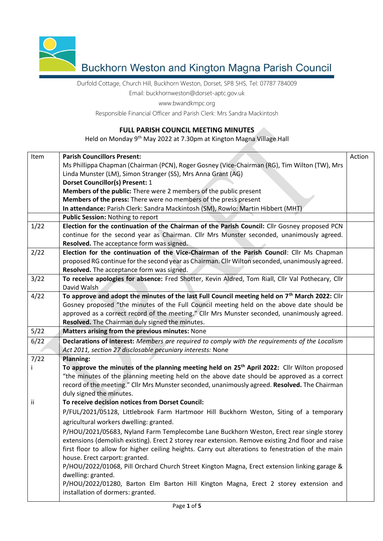

Buckhorn Weston and Kington Magna Parish Council

Durfold Cottage, Church Hill, Buckhorn Weston, Dorset, SP8 5HS, Tel: 07787 784009

Email: [buckhornweston@dorset-aptc.gov.uk](mailto:buckhornweston@dorset-aptc.gov.uk)

www.bwandkmpc.org

Responsible Financial Officer and Parish Clerk: Mrs Sandra Mackintosh

## **FULL PARISH COUNCIL MEETING MINUTES**

Held on Monday 9<sup>th</sup> May 2022 at 7.30pm at Kington Magna Village Hall

| Item   | <b>Parish Councillors Present:</b>                                                                                        | Action |
|--------|---------------------------------------------------------------------------------------------------------------------------|--------|
|        | Ms Phillippa Chapman (Chairman (PCN), Roger Gosney (Vice-Chairman (RG), Tim Wilton (TW), Mrs                              |        |
|        | Linda Munster (LM), Simon Stranger (SS), Mrs Anna Grant (AG)                                                              |        |
|        | <b>Dorset Councillor(s) Present: 1</b>                                                                                    |        |
|        | Members of the public: There were 2 members of the public present                                                         |        |
|        | Members of the press: There were no members of the press present                                                          |        |
|        | In attendance: Parish Clerk: Sandra Mackintosh (SM), Rowlo: Martin Hibbert (MHT)                                          |        |
|        | Public Session: Nothing to report                                                                                         |        |
| 1/22   | Election for the continuation of the Chairman of the Parish Council: Cllr Gosney proposed PCN                             |        |
|        | continue for the second year as Chairman. Cllr Mrs Munster seconded, unanimously agreed.                                  |        |
|        | Resolved. The acceptance form was signed.                                                                                 |        |
| 2/22   | Election for the continuation of the Vice-Chairman of the Parish Council: Cllr Ms Chapman                                 |        |
|        | proposed RG continue for the second year as Chairman. Cllr Wilton seconded, unanimously agreed.                           |        |
|        | Resolved. The acceptance form was signed.                                                                                 |        |
| 3/22   | To receive apologies for absence: Fred Shotter, Kevin Aldred, Tom Riall, Cllr Val Pothecary, Cllr                         |        |
|        | David Walsh                                                                                                               |        |
| 4/22   | To approve and adopt the minutes of the last Full Council meeting held on 7 <sup>th</sup> March 2022: Cllr                |        |
|        | Gosney proposed "the minutes of the Full Council meeting held on the above date should be                                 |        |
|        | approved as a correct record of the meeting." Cllr Mrs Munster seconded, unanimously agreed.                              |        |
|        | Resolved. The Chairman duly signed the minutes.                                                                           |        |
|        |                                                                                                                           |        |
| $5/22$ | Matters arising from the previous minutes: None                                                                           |        |
| 6/22   | Declarations of interest: Members are required to comply with the requirements of the Localism                            |        |
|        | Act 2011, section 27 disclosable pecuniary interests: None                                                                |        |
| 7/22   | <b>Planning:</b>                                                                                                          |        |
|        | To approve the minutes of the planning meeting held on 25 <sup>th</sup> April 2022: Cllr Wilton proposed                  |        |
|        | "the minutes of the planning meeting held on the above date should be approved as a correct                               |        |
|        | record of the meeting." Cllr Mrs Munster seconded, unanimously agreed. Resolved. The Chairman                             |        |
|        | duly signed the minutes.                                                                                                  |        |
| ij     | To receive decision notices from Dorset Council:                                                                          |        |
|        |                                                                                                                           |        |
|        | P/FUL/2021/05128, Littlebrook Farm Hartmoor Hill Buckhorn Weston, Siting of a temporary                                   |        |
|        | agricultural workers dwelling: granted.                                                                                   |        |
|        | P/HOU/2021/05683, Nyland Farm Templecombe Lane Buckhorn Weston, Erect rear single storey                                  |        |
|        | extensions (demolish existing). Erect 2 storey rear extension. Remove existing 2nd floor and raise                        |        |
|        | first floor to allow for higher ceiling heights. Carry out alterations to fenestration of the main                        |        |
|        | house. Erect carport: granted.                                                                                            |        |
|        | P/HOU/2022/01068, Pill Orchard Church Street Kington Magna, Erect extension linking garage &                              |        |
|        | dwelling: granted.                                                                                                        |        |
|        | P/HOU/2022/01280, Barton Elm Barton Hill Kington Magna, Erect 2 storey extension and<br>installation of dormers: granted. |        |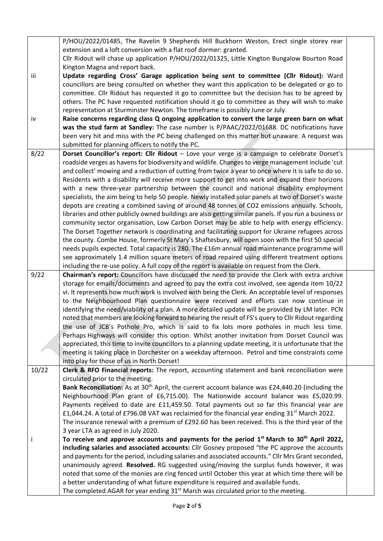|       | P/HOU/2022/01485, The Ravelin 9 Shepherds Hill Buckhorn Weston, Erect single storey rear                                                                                                                  |  |
|-------|-----------------------------------------------------------------------------------------------------------------------------------------------------------------------------------------------------------|--|
|       | extension and a loft conversion with a flat roof dormer: granted.                                                                                                                                         |  |
|       | Cllr Ridout will chase up application P/HOU/2022/01325, Little Kington Bungalow Bourton Road                                                                                                              |  |
|       | Kington Magna and report back.                                                                                                                                                                            |  |
| iii   | Update regarding Cross' Garage application being sent to committee (Cllr Ridout): Ward                                                                                                                    |  |
|       | councillors are being consulted on whether they want this application to be delegated or go to                                                                                                            |  |
|       | committee. Cllr Ridout has requested it go to committee but the decision has to be agreed by                                                                                                              |  |
|       | others. The PC have requested notification should it go to committee as they will wish to make                                                                                                            |  |
|       | representation at Sturminster Newton. The timeframe is possibly June or July.                                                                                                                             |  |
| iv    | Raise concerns regarding class Q ongoing application to convert the large green barn on what                                                                                                              |  |
|       | was the stud farm at Sandley: The case number is P/PAAC/2022/01688. DC notifications have                                                                                                                 |  |
|       | been very hit and miss with the PC being challenged on this matter but unaware. A request was                                                                                                             |  |
|       | submitted for planning officers to notify the PC.                                                                                                                                                         |  |
| 8/22  | Dorset Councillor's report: Cllr Ridout - Love your verge is a campaign to celebrate Dorset's                                                                                                             |  |
|       | roadside verges as havens for biodiversity and wildlife. Changes to verge management include 'cut                                                                                                         |  |
|       | and collect' mowing and a reduction of cutting from twice a year to once where it is safe to do so.                                                                                                       |  |
|       | Residents with a disability will receive more support to get into work and expand their horizons                                                                                                          |  |
|       | with a new three-year partnership between the council and national disability employment                                                                                                                  |  |
|       | specialists, the aim being to help 50 people. Newly installed solar panels at two of Dorset's waste                                                                                                       |  |
|       | depots are creating a combined saving of around 48 tonnes of CO2 emissions annually. Schools,                                                                                                             |  |
|       | libraries and other publicly owned buildings are also getting similar panels. If you run a business or                                                                                                    |  |
|       | community sector organisation, Low Carbon Dorset may be able to help with energy efficiency.                                                                                                              |  |
|       | The Dorset Together network is coordinating and facilitating support for Ukraine refugees across                                                                                                          |  |
|       | the county. Combe House, formerly St Mary's Shaftesbury, will open soon with the first 50 special                                                                                                         |  |
|       | needs pupils expected. Total capacity is 280. The £16m annual road maintenance programme will                                                                                                             |  |
|       | see approximately 1.4 million square meters of road repaired using different treatment options                                                                                                            |  |
|       | including the re-use policy. A full copy of the report is available on request from the Clerk.                                                                                                            |  |
| 9/22  | Chairman's report: Councillors have discussed the need to provide the Clerk with extra archive                                                                                                            |  |
|       | storage for emails/documents and agreed to pay the extra cost involved, see agenda item 10/22                                                                                                             |  |
|       | vi. It represents how much work is involved with being the Clerk. An acceptable level of responses                                                                                                        |  |
|       | to the Neighbourhood Plan questionnaire were received and efforts can now continue in                                                                                                                     |  |
|       | identifying the need/viability of a plan. A more detailed update will be provided by LM later. PCN<br>noted that members are looking forward to hearing the result of FS's query to Cllr Ridout regarding |  |
|       | the use of JCB's Pothole Pro, which is said to fix lots more potholes in much less time.                                                                                                                  |  |
|       | Perhaps Highways will consider this option. Whilst another invitation from Dorset Council was                                                                                                             |  |
|       | appreciated, this time to invite councillors to a planning update meeting, it is unfortunate that the                                                                                                     |  |
|       | meeting is taking place in Dorchester on a weekday afternoon. Petrol and time constraints come                                                                                                            |  |
|       | into play for those of us in North Dorset!                                                                                                                                                                |  |
| 10/22 | Clerk & RFO Financial reports: The report, accounting statement and bank reconciliation were                                                                                                              |  |
|       | circulated prior to the meeting.                                                                                                                                                                          |  |
|       | Bank Reconciliation: As at 30 <sup>th</sup> April, the current account balance was £24,440.20 (including the                                                                                              |  |
|       | Neighbourhood Plan grant of £6,715.00). The Nationwide account balance was £5,020.99.                                                                                                                     |  |
|       | Payments received to date are £11,459.50. Total payments out so far this financial year are                                                                                                               |  |
|       | £1,044.24. A total of £796.08 VAT was reclaimed for the financial year ending 31 <sup>st</sup> March 2022.                                                                                                |  |
|       | The insurance renewal with a premium of £292.60 has been received. This is the third year of the                                                                                                          |  |
|       | 3 year LTA as agreed in July 2020.                                                                                                                                                                        |  |
| i     | To receive and approve accounts and payments for the period 1 <sup>st</sup> March to 30 <sup>th</sup> April 2022,                                                                                         |  |
|       | including salaries and associated accounts: Cllr Gosney proposed "the PC approve the accounts                                                                                                             |  |
|       | and payments for the period, including salaries and associated accounts." Cllr Mrs Grant seconded,                                                                                                        |  |
|       | unanimously agreed. Resolved. RG suggested using/moving the surplus funds however, it was                                                                                                                 |  |
|       | noted that some of the monies are ring fenced until October this year at which time there will be                                                                                                         |  |
|       | a better understanding of what future expenditure is required and available funds.                                                                                                                        |  |
|       | The completed AGAR for year ending 31 <sup>st</sup> March was circulated prior to the meeting.                                                                                                            |  |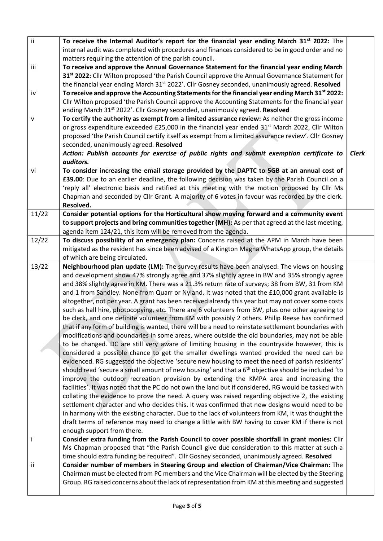| $\overline{ii}$ | To receive the Internal Auditor's report for the financial year ending March 31 <sup>st</sup> 2022: The                                                                                            |              |
|-----------------|----------------------------------------------------------------------------------------------------------------------------------------------------------------------------------------------------|--------------|
|                 | internal audit was completed with procedures and finances considered to be in good order and no                                                                                                    |              |
|                 | matters requiring the attention of the parish council.                                                                                                                                             |              |
| iii             | To receive and approve the Annual Governance Statement for the financial year ending March                                                                                                         |              |
|                 | 31st 2022: Cllr Wilton proposed 'the Parish Council approve the Annual Governance Statement for                                                                                                    |              |
|                 | the financial year ending March 31 <sup>st</sup> 2022'. Cllr Gosney seconded, unanimously agreed. Resolved                                                                                         |              |
| iv              | To receive and approve the Accounting Statements for the financial year ending March $31^{st}$ 2022:                                                                                               |              |
|                 | Cllr Wilton proposed 'the Parish Council approve the Accounting Statements for the financial year                                                                                                  |              |
|                 | ending March 31 <sup>st</sup> 2022'. Cllr Gosney seconded, unanimously agreed. Resolved                                                                                                            |              |
| v               | To certify the authority as exempt from a limited assurance review: As neither the gross income                                                                                                    |              |
|                 | or gross expenditure exceeded £25,000 in the financial year ended $31st$ March 2022, Cllr Wilton                                                                                                   |              |
|                 | proposed 'the Parish Council certify itself as exempt from a limited assurance review'. Cllr Gosney                                                                                                |              |
|                 | seconded, unanimously agreed. Resolved                                                                                                                                                             |              |
|                 | Action: Publish accounts for exercise of public rights and submit exemption certificate to                                                                                                         | <b>Clerk</b> |
|                 | auditors.                                                                                                                                                                                          |              |
| vi              | To consider increasing the email storage provided by the DAPTC to 5GB at an annual cost of                                                                                                         |              |
|                 | £39.00: Due to an earlier deadline, the following decision was taken by the Parish Council on a                                                                                                    |              |
|                 | 'reply all' electronic basis and ratified at this meeting with the motion proposed by Cllr Ms                                                                                                      |              |
|                 | Chapman and seconded by Cllr Grant. A majority of 6 votes in favour was recorded by the clerk.                                                                                                     |              |
|                 | Resolved.                                                                                                                                                                                          |              |
| 11/22           | Consider potential options for the Horticultural show moving forward and a community event                                                                                                         |              |
|                 | to support projects and bring communities together (MH): As per that agreed at the last meeting,                                                                                                   |              |
|                 | agenda item 124/21, this item will be removed from the agenda.                                                                                                                                     |              |
| 12/22           | To discuss possibility of an emergency plan: Concerns raised at the APM in March have been                                                                                                         |              |
|                 | mitigated as the resident has since been advised of a Kington Magna WhatsApp group, the details                                                                                                    |              |
|                 | of which are being circulated.                                                                                                                                                                     |              |
|                 |                                                                                                                                                                                                    |              |
| 13/22           | Neighbourhood plan update (LM): The survey results have been analysed. The views on housing                                                                                                        |              |
|                 | and development show 47% strongly agree and 37% slightly agree in BW and 35% strongly agree                                                                                                        |              |
|                 | and 38% slightly agree in KM. There was a 21.3% return rate of surveys; 38 from BW, 31 from KM                                                                                                     |              |
|                 | and 1 from Sandley. None from Quarr or Nyland. It was noted that the £10,000 grant available is                                                                                                    |              |
|                 | altogether, not per year. A grant has been received already this year but may not cover some costs                                                                                                 |              |
|                 | such as hall hire, photocopying, etc. There are 6 volunteers from BW, plus one other agreeing to                                                                                                   |              |
|                 | be clerk, and one definite volunteer from KM with possibly 2 others. Philip Reese has confirmed                                                                                                    |              |
|                 | that if any form of building is wanted, there will be a need to reinstate settlement boundaries with                                                                                               |              |
|                 | modifications and boundaries in some areas, where outside the old boundaries, may not be able                                                                                                      |              |
|                 | to be changed. DC are still very aware of limiting housing in the countryside however, this is                                                                                                     |              |
|                 | considered a possible chance to get the smaller dwellings wanted provided the need can be                                                                                                          |              |
|                 | evidenced. RG suggested the objective 'secure new housing to meet the need of parish residents'                                                                                                    |              |
|                 | should read 'secure a small amount of new housing' and that a 6 <sup>th</sup> objective should be included 'to                                                                                     |              |
|                 | improve the outdoor recreation provision by extending the KMPA area and increasing the                                                                                                             |              |
|                 | facilities'. It was noted that the PC do not own the land but if considered, RG would be tasked with                                                                                               |              |
|                 | collating the evidence to prove the need. A query was raised regarding objective 2, the existing                                                                                                   |              |
|                 | settlement character and who decides this. It was confirmed that new designs would need to be                                                                                                      |              |
|                 | in harmony with the existing character. Due to the lack of volunteers from KM, it was thought the                                                                                                  |              |
|                 | draft terms of reference may need to change a little with BW having to cover KM if there is not                                                                                                    |              |
|                 | enough support from there.                                                                                                                                                                         |              |
| $\mathbf{i}$    | Consider extra funding from the Parish Council to cover possible shortfall in grant monies: Cllr                                                                                                   |              |
|                 | Ms Chapman proposed that "the Parish Council give due consideration to this matter at such a                                                                                                       |              |
|                 | time should extra funding be required". Cllr Gosney seconded, unanimously agreed. Resolved                                                                                                         |              |
| Ϊİ              | Consider number of members in Steering Group and election of Chairman/Vice Chairman: The                                                                                                           |              |
|                 | Chairman must be elected from PC members and the Vice Chairman will be elected by the Steering<br>Group. RG raised concerns about the lack of representation from KM at this meeting and suggested |              |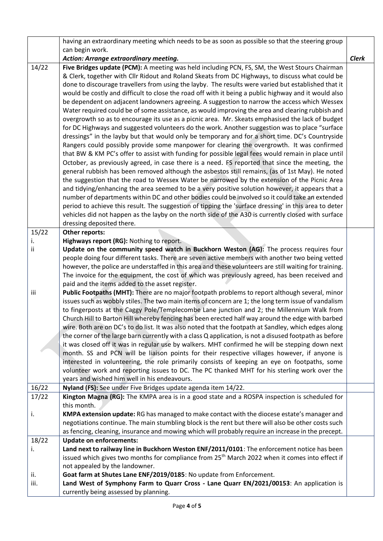|       | having an extraordinary meeting which needs to be as soon as possible so that the steering group                                                                                          |              |
|-------|-------------------------------------------------------------------------------------------------------------------------------------------------------------------------------------------|--------------|
|       | can begin work.                                                                                                                                                                           |              |
|       | Action: Arrange extraordinary meeting.                                                                                                                                                    | <b>Clerk</b> |
| 14/22 | Five Bridges update (PCM): A meeting was held including PCN, FS, SM, the West Stours Chairman                                                                                             |              |
|       | & Clerk, together with Cllr Ridout and Roland Skeats from DC Highways, to discuss what could be                                                                                           |              |
|       | done to discourage travellers from using the layby. The results were varied but established that it                                                                                       |              |
|       | would be costly and difficult to close the road off with it being a public highway and it would also                                                                                      |              |
|       | be dependent on adjacent landowners agreeing. A suggestion to narrow the access which Wessex                                                                                              |              |
|       | Water required could be of some assistance, as would improving the area and clearing rubbish and                                                                                          |              |
|       | overgrowth so as to encourage its use as a picnic area. Mr. Skeats emphasised the lack of budget                                                                                          |              |
|       | for DC Highways and suggested volunteers do the work. Another suggestion was to place "surface"                                                                                           |              |
|       | dressings" in the layby but that would only be temporary and for a short time. DC's Countryside                                                                                           |              |
|       | Rangers could possibly provide some manpower for clearing the overgrowth. It was confirmed                                                                                                |              |
|       | that BW & KM PC's offer to assist with funding for possible legal fees would remain in place until                                                                                        |              |
|       | October, as previously agreed, in case there is a need. FS reported that since the meeting, the                                                                                           |              |
|       | general rubbish has been removed although the asbestos still remains, (as of 1st May). He noted                                                                                           |              |
|       | the suggestion that the road to Wessex Water be narrowed by the extension of the Picnic Area                                                                                              |              |
|       | and tidying/enhancing the area seemed to be a very positive solution however, it appears that a                                                                                           |              |
|       | number of departments within DC and other bodies could be involved so it could take an extended                                                                                           |              |
|       | period to achieve this result. The suggestion of tipping the 'surface dressing' in this area to deter                                                                                     |              |
|       | vehicles did not happen as the layby on the north side of the A30 is currently closed with surface                                                                                        |              |
|       | dressing deposited there.                                                                                                                                                                 |              |
| 15/22 | Other reports:                                                                                                                                                                            |              |
| i.    | Highways report (RG): Nothing to report.                                                                                                                                                  |              |
| ii    | Update on the community speed watch in Buckhorn Weston (AG): The process requires four<br>people doing four different tasks. There are seven active members with another two being vetted |              |
|       | however, the police are understaffed in this area and these volunteers are still waiting for training.                                                                                    |              |
|       | The invoice for the equipment, the cost of which was previously agreed, has been received and                                                                                             |              |
|       | paid and the items added to the asset register.                                                                                                                                           |              |
| iii   | Public Footpaths (MHT): There are no major footpath problems to report although several, minor                                                                                            |              |
|       | issues such as wobbly stiles. The two main items of concern are 1; the long term issue of vandalism                                                                                       |              |
|       | to fingerposts at the Caggy Pole/Templecombe Lane junction and 2; the Millennium Walk from                                                                                                |              |
|       | Church Hill to Barton Hill whereby fencing has been erected half way around the edge with barbed                                                                                          |              |
|       | wire. Both are on DC's to do list. It was also noted that the footpath at Sandley, which edges along                                                                                      |              |
|       | the corner of the large barn currently with a class Q application, is not a disused footpath as before                                                                                    |              |
|       | it was closed off it was in regular use by walkers. MHT confirmed he will be stepping down next                                                                                           |              |
|       | month. SS and PCN will be liaison points for their respective villages however, if anyone is                                                                                              |              |
|       | interested in volunteering, the role primarily consists of keeping an eye on footpaths, some                                                                                              |              |
|       | volunteer work and reporting issues to DC. The PC thanked MHT for his sterling work over the                                                                                              |              |
|       | years and wished him well in his endeavours.                                                                                                                                              |              |
| 16/22 | Nyland (FS): See under Five Bridges update agenda item 14/22.                                                                                                                             |              |
| 17/22 | Kington Magna (RG): The KMPA area is in a good state and a ROSPA inspection is scheduled for                                                                                              |              |
|       | this month.                                                                                                                                                                               |              |
| i.    | KMPA extension update: RG has managed to make contact with the diocese estate's manager and                                                                                               |              |
|       | negotiations continue. The main stumbling block is the rent but there will also be other costs such                                                                                       |              |
|       | as fencing, cleaning, insurance and mowing which will probably require an increase in the precept.                                                                                        |              |
| 18/22 | <b>Update on enforcements:</b>                                                                                                                                                            |              |
| i.    | Land next to railway line in Buckhorn Weston ENF/2011/0101: The enforcement notice has been                                                                                               |              |
|       | issued which gives two months for compliance from 25 <sup>th</sup> March 2022 when it comes into effect if                                                                                |              |
|       | not appealed by the landowner.                                                                                                                                                            |              |
| ii.   | Goat farm at Shutes Lane ENF/2019/0185: No update from Enforcement.                                                                                                                       |              |
| iii.  | Land West of Symphony Farm to Quarr Cross - Lane Quarr EN/2021/00153: An application is                                                                                                   |              |
|       | currently being assessed by planning.                                                                                                                                                     |              |